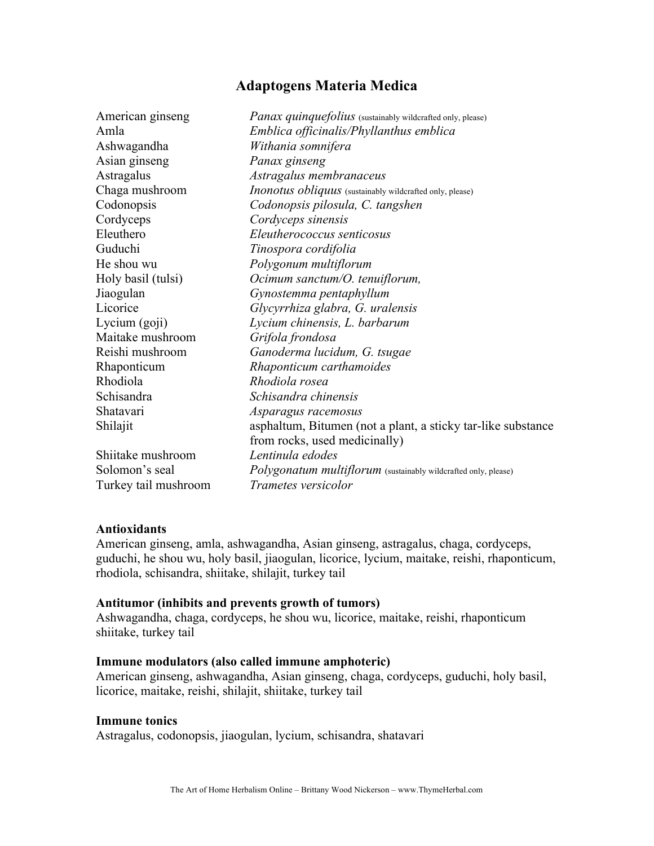# **Adaptogens Materia Medica**

| <i>Panax quinquefolius</i> (sustainably wildcrafted only, please) |
|-------------------------------------------------------------------|
| Emblica officinalis/Phyllanthus emblica                           |
| Withania somnifera                                                |
| Panax ginseng                                                     |
| Astragalus membranaceus                                           |
| Inonotus obliquus (sustainably wildcrafted only, please)          |
| Codonopsis pilosula, C. tangshen                                  |
| Cordyceps sinensis                                                |
| Eleutherococcus senticosus                                        |
| Tinospora cordifolia                                              |
| Polygonum multiflorum                                             |
| Ocimum sanctum/O. tenuiflorum,                                    |
| Gynostemma pentaphyllum                                           |
| Glycyrrhiza glabra, G. uralensis                                  |
| Lycium chinensis, L. barbarum                                     |
| Grifola frondosa                                                  |
| Ganoderma lucidum, G. tsugae                                      |
| Rhaponticum carthamoides                                          |
| Rhodiola rosea                                                    |
| Schisandra chinensis                                              |
| Asparagus racemosus                                               |
| asphaltum, Bitumen (not a plant, a sticky tar-like substance      |
| from rocks, used medicinally)                                     |
| Lentinula edodes                                                  |
| Polygonatum multiflorum (sustainably wildcrafted only, please)    |
| <i>Trametes versicolor</i>                                        |
|                                                                   |

## **Antioxidants**

American ginseng, amla, ashwagandha, Asian ginseng, astragalus, chaga, cordyceps, guduchi, he shou wu, holy basil, jiaogulan, licorice, lycium, maitake, reishi, rhaponticum, rhodiola, schisandra, shiitake, shilajit, turkey tail

#### **Antitumor (inhibits and prevents growth of tumors)**

Ashwagandha, chaga, cordyceps, he shou wu, licorice, maitake, reishi, rhaponticum shiitake, turkey tail

#### **Immune modulators (also called immune amphoteric)**

American ginseng, ashwagandha, Asian ginseng, chaga, cordyceps, guduchi, holy basil, licorice, maitake, reishi, shilajit, shiitake, turkey tail

#### **Immune tonics**

Astragalus, codonopsis, jiaogulan, lycium, schisandra, shatavari